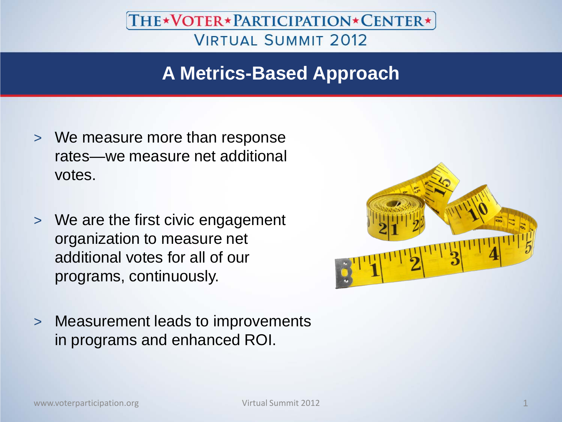# **A Metrics-Based Approach**

- > We measure more than response rates—we measure net additional votes.
- > We are the first civic engagement organization to measure net additional votes for all of our programs, continuously.
- > Measurement leads to improvements in programs and enhanced ROI.

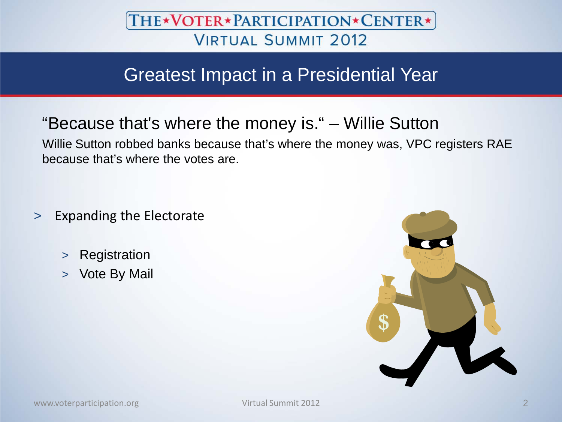## Greatest Impact in a Presidential Year

#### "Because that's where the money is." – Willie Sutton

Willie Sutton robbed banks because that's where the money was, VPC registers RAE because that's where the votes are.

> Expanding the Electorate

- > Registration
- > Vote By Mail

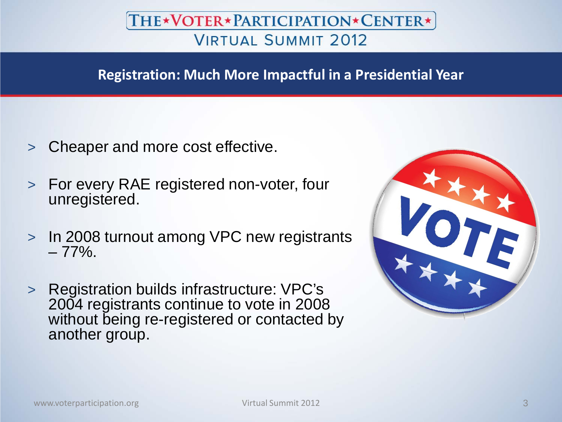#### **Registration: Much More Impactful in a Presidential Year**

- > Cheaper and more cost effective.
- > For every RAE registered non-voter, four unregistered.
- <sup>&</sup>gt; In 2008 turnout among VPC new registrants 77%.
- > Registration builds infrastructure: VPC's 2004 registrants continue to vote in 2008 without being re-registered or contacted by another group.

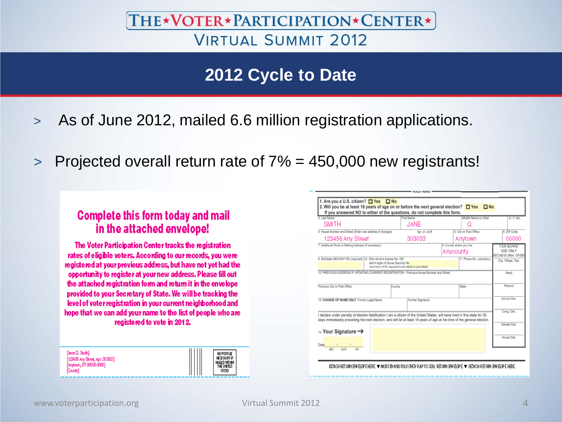#### **2012 Cycle to Date**

- > As of June 2012, mailed 6.6 million registration applications.
- > Projected overall return rate of 7% = 450,000 new registrants!

#### **Complete this form today and mail** in the attached envelope!

The Voter Participation Center tracks the registration rates of eligible voters. According to our records, you were registered at your previous address, but have not yet had the opportunity to register at your new address. Please fill out the attached registration form and return it in the envelope provided to your Secretary of State. We will be tracking the level of voter registration in your current neighborhood and hope that we can add your name to the list of people who are registered to vote in 2012.

| 3. Last Name                                                                                                                                                | First Name                                         | Middle Name or Initial    | Jr., II, etc.                    |
|-------------------------------------------------------------------------------------------------------------------------------------------------------------|----------------------------------------------------|---------------------------|----------------------------------|
| SMITH                                                                                                                                                       | JANE.                                              |                           |                                  |
| 4. House Number and Street (Enter new address if changed)                                                                                                   | Apt. or Lot #                                      | 5. City or Post Office    | 6. ZIP Code                      |
| 123456 Anv Street                                                                                                                                           | 303033                                             | Anvtown                   | 00000                            |
| 7. Additional Rural or Mailing Address (if necessary)                                                                                                       |                                                    | 8. County where you live  | FOR BOARD                        |
|                                                                                                                                                             |                                                    | Anycounty                 | USE ONLY<br>SEC4010 (Rev. 07/08) |
| 9. Birthdate (MO-DAY-YR) (required) 10. Ohio driver's license No. OR<br>last 4 digits of Social Security No.                                                | (one form of ID required to be listed or provided) | 11. Phone No. (voluntary) | City, Village, Twp.              |
| 12 PREVIOUS ADDRESS IF UPDATING CURRENT REGISTRATION - Previous House Number and Street                                                                     |                                                    |                           |                                  |
| County                                                                                                                                                      |                                                    | State                     | Ward<br>Precinci                 |
| Previous City or Post Office<br>13. CHANGE OF NAME ONLY Former Legal Name                                                                                   | Former Signature                                   |                           | School Dist                      |
| I declare under penalty of election falsification I am a citizen of the United States, will have lived in this state for 30                                 |                                                    |                           | Cong. Dist.                      |
| days immediately preceding the next election, and will be at least 18 years of age at the time of the general election.<br>14. Your Signature $\rightarrow$ |                                                    |                           | Senate Dist                      |

#### DÊTACH RETURN ENVELOPE HERE. ▼ MOISTEN AND FOLD OVER FLAPTO SEAL RETURN ENVELOPE ▼ DETACH RETURN ENVELOPE HERE

[Jane Q. Smith] [123456 Any Street, Apt. 303033] Anytown, ST 00000-00001 (County)

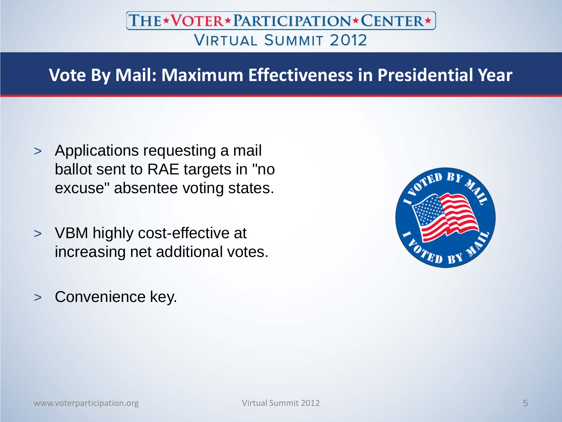### **Vote By Mail: Maximum Effectiveness in Presidential Year**

- > Applications requesting a mail ballot sent to RAE targets in "no excuse" absentee voting states.
- > VBM highly cost-effective at increasing net additional votes.

> Convenience key.